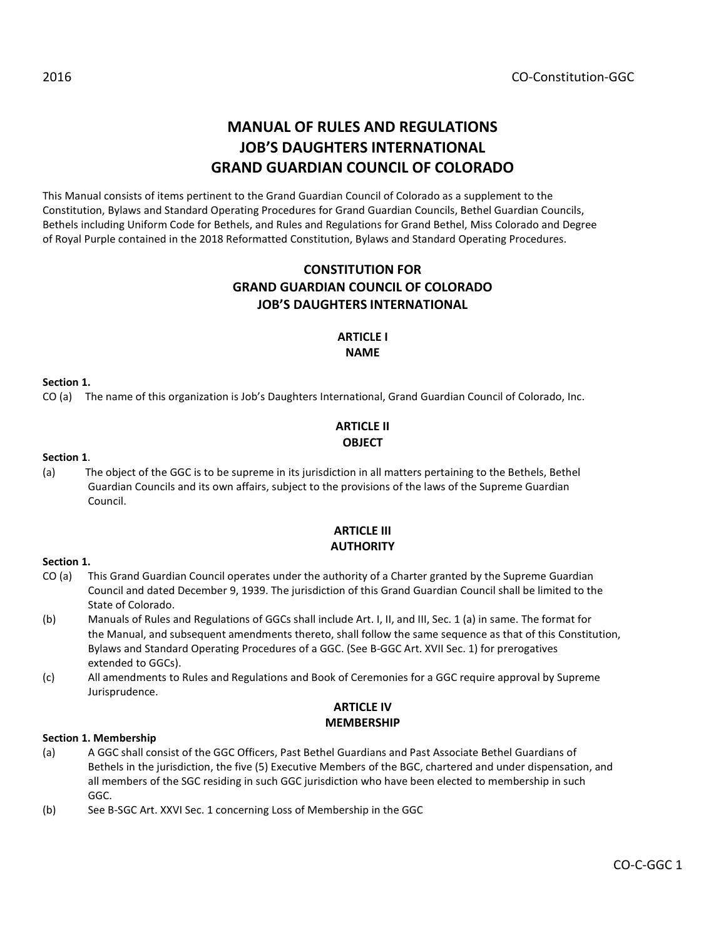# MANUAL OF RULES AND REGULATIONS JOB'S DAUGHTERS INTERNATIONAL GRAND GUARDIAN COUNCIL OF COLORADO

This Manual consists of items pertinent to the Grand Guardian Council of Colorado as a supplement to the Constitution, Bylaws and Standard Operating Procedures for Grand Guardian Councils, Bethel Guardian Councils, Bethels including Uniform Code for Bethels, and Rules and Regulations for Grand Bethel, Miss Colorado and Degree of Royal Purple contained in the 2018 Reformatted Constitution, Bylaws and Standard Operating Procedures.

# CONSTITUTION FOR GRAND GUARDIAN COUNCIL OF COLORADO JOB'S DAUGHTERS INTERNATIONAL

#### ARTICLE I NAME

#### Section 1.

CO (a) The name of this organization is Job's Daughters International, Grand Guardian Council of Colorado, Inc.

# ARTICLE II **OBJECT**

#### Section 1.

(a) The object of the GGC is to be supreme in its jurisdiction in all matters pertaining to the Bethels, Bethel Guardian Councils and its own affairs, subject to the provisions of the laws of the Supreme Guardian Council.

### ARTICLE III **AUTHORITY**

#### Section 1.

- CO (a) This Grand Guardian Council operates under the authority of a Charter granted by the Supreme Guardian Council and dated December 9, 1939. The jurisdiction of this Grand Guardian Council shall be limited to the State of Colorado.
- (b) Manuals of Rules and Regulations of GGCs shall include Art. I, II, and III, Sec. 1 (a) in same. The format for the Manual, and subsequent amendments thereto, shall follow the same sequence as that of this Constitution, Bylaws and Standard Operating Procedures of a GGC. (See B-GGC Art. XVII Sec. 1) for prerogatives extended to GGCs).
- (c) All amendments to Rules and Regulations and Book of Ceremonies for a GGC require approval by Supreme Jurisprudence.

### ARTICLE IV MEMBERSHIP

#### Section 1. Membership

- (a) A GGC shall consist of the GGC Officers, Past Bethel Guardians and Past Associate Bethel Guardians of Bethels in the jurisdiction, the five (5) Executive Members of the BGC, chartered and under dispensation, and all members of the SGC residing in such GGC jurisdiction who have been elected to membership in such GGC.
- (b) See B-SGC Art. XXVI Sec. 1 concerning Loss of Membership in the GGC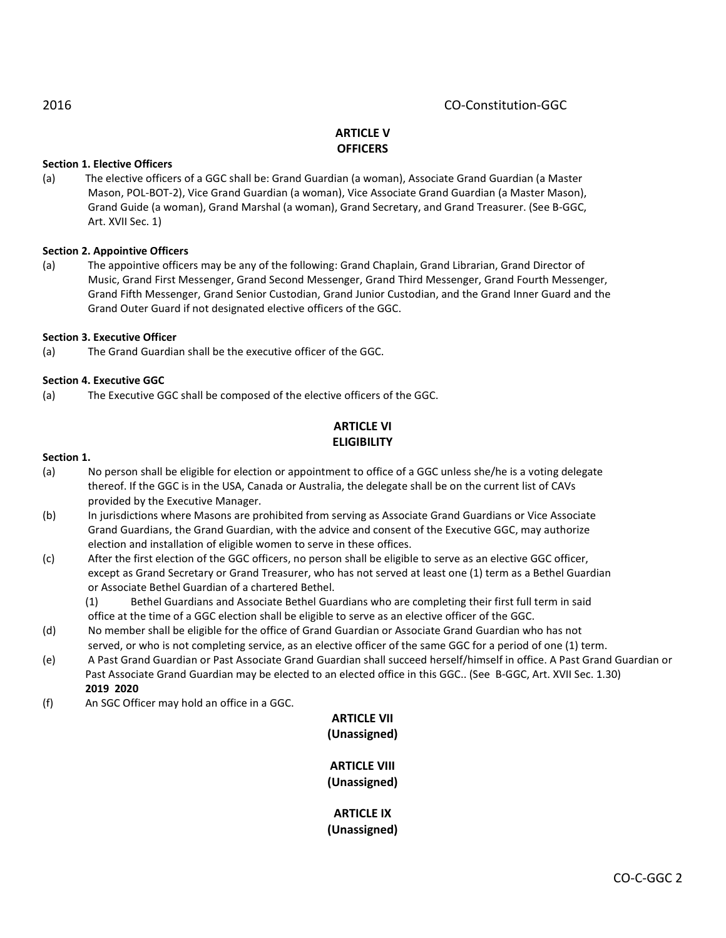# 2016 CO-Constitution-GGC

# ARTICLE V **OFFICERS**

### Section 1. Elective Officers

(a) The elective officers of a GGC shall be: Grand Guardian (a woman), Associate Grand Guardian (a Master Mason, POL-BOT-2), Vice Grand Guardian (a woman), Vice Associate Grand Guardian (a Master Mason), Grand Guide (a woman), Grand Marshal (a woman), Grand Secretary, and Grand Treasurer. (See B-GGC, Art. XVII Sec. 1)

#### Section 2. Appointive Officers

(a) The appointive officers may be any of the following: Grand Chaplain, Grand Librarian, Grand Director of Music, Grand First Messenger, Grand Second Messenger, Grand Third Messenger, Grand Fourth Messenger, Grand Fifth Messenger, Grand Senior Custodian, Grand Junior Custodian, and the Grand Inner Guard and the Grand Outer Guard if not designated elective officers of the GGC.

#### Section 3. Executive Officer

(a) The Grand Guardian shall be the executive officer of the GGC.

#### Section 4. Executive GGC

(a) The Executive GGC shall be composed of the elective officers of the GGC.

# ARTICLE VI **ELIGIBILITY**

#### Section 1.

- (a) No person shall be eligible for election or appointment to office of a GGC unless she/he is a voting delegate thereof. If the GGC is in the USA, Canada or Australia, the delegate shall be on the current list of CAVs provided by the Executive Manager.
- (b) In jurisdictions where Masons are prohibited from serving as Associate Grand Guardians or Vice Associate Grand Guardians, the Grand Guardian, with the advice and consent of the Executive GGC, may authorize election and installation of eligible women to serve in these offices.
- (c) After the first election of the GGC officers, no person shall be eligible to serve as an elective GGC officer, except as Grand Secretary or Grand Treasurer, who has not served at least one (1) term as a Bethel Guardian or Associate Bethel Guardian of a chartered Bethel.

(1) Bethel Guardians and Associate Bethel Guardians who are completing their first full term in said office at the time of a GGC election shall be eligible to serve as an elective officer of the GGC.

- (d) No member shall be eligible for the office of Grand Guardian or Associate Grand Guardian who has not served, or who is not completing service, as an elective officer of the same GGC for a period of one (1) term.
- (e) A Past Grand Guardian or Past Associate Grand Guardian shall succeed herself/himself in office. A Past Grand Guardian or Past Associate Grand Guardian may be elected to an elected office in this GGC.. (See B-GGC, Art. XVII Sec. 1.30) 2019 2020
- (f) An SGC Officer may hold an office in a GGC.

# ARTICLE VII (Unassigned)

### ARTICLE VIII (Unassigned)

ARTICLE IX (Unassigned)